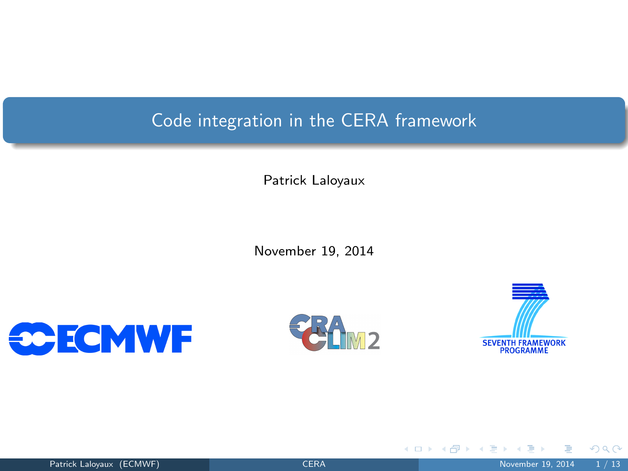# Code integration in the CERA framework

Patrick Laloyaux

November 19, 2014







**K ロ ▶ K 何 ▶ K 日** 

<span id="page-0-0"></span> $299$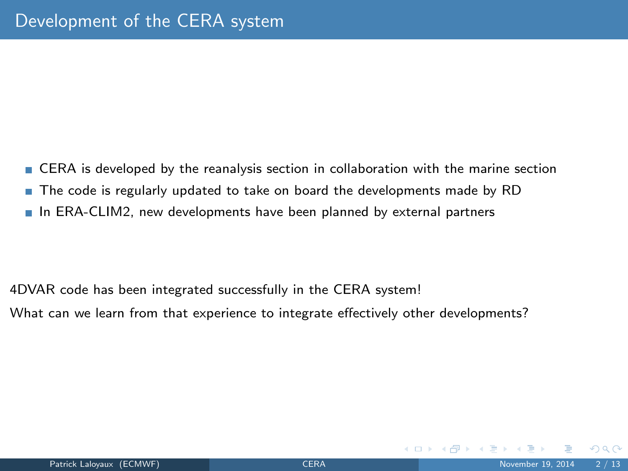CERA is developed by the reanalysis section in collaboration with the marine section The code is regularly updated to take on board the developments made by RD In ERA-CLIM2, new developments have been planned by external partners

4DVAR code has been integrated successfully in the CERA system! What can we learn from that experience to integrate effectively other developments?

 $\Omega$ 

イロト イ押 トイヨ トイヨ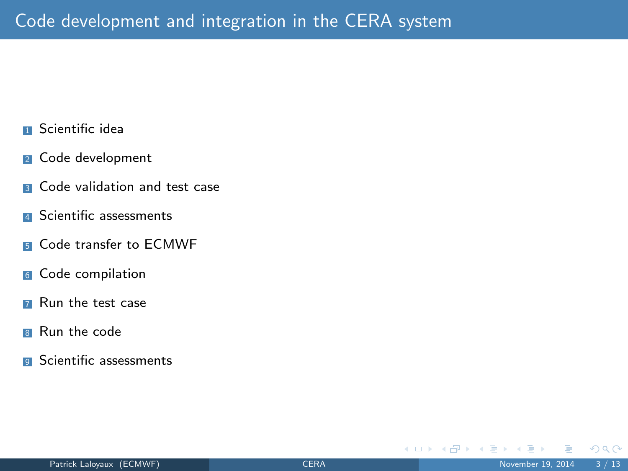- **1** Scientific idea
- <sup>2</sup> Code development
- **B** Code validation and test case
- **4** Scientific assessments
- **5** Code transfer to FCMWF
- <sup>6</sup> Code compilation
- **7** Run the test case
- **B** Run the code
- **9** Scientific assessments

**K ロ ト K 何 ト K ヨ ト** 

 $QQ$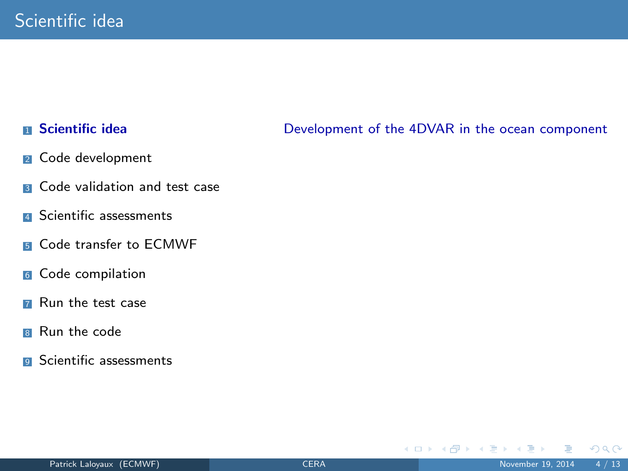# **n** Scientific idea

- <sup>2</sup> Code development
- **B** Code validation and test case
- **4** Scientific assessments
- **5** Code transfer to FCMWF
- <sup>6</sup> Code compilation
- **7** Run the test case
- **8** Run the code
- **9** Scientific assessments

## Development of the 4DVAR in the ocean component

イロト イ押ト イヨト イ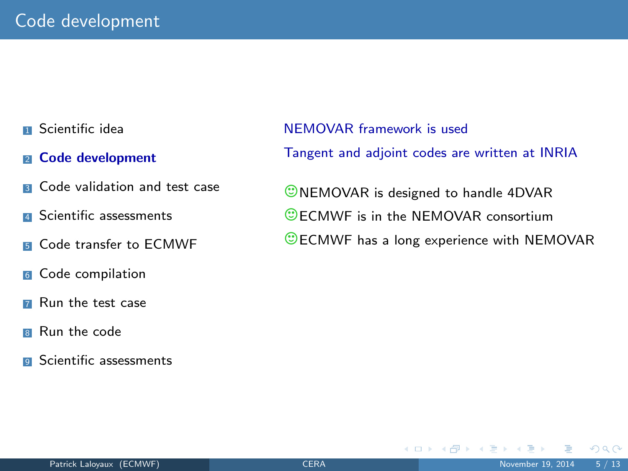- **1** Scientific idea
- **2** Code development
- **3** Code validation and test case
- **4** Scientific assessments
- **5** Code transfer to FCMWF
- <sup>6</sup> Code compilation
- **7** Run the test case
- **B** Run the code
- **9** Scientific assessments

NEMOVAR framework is used Tangent and adjoint codes are written at INRIA

**ONEMOVAR** is designed to handle 4DVAR C FCMWF is in the NEMOVAR consortium CECMWF has a long experience with NEMOVAR

イロト イ押ト イヨト イ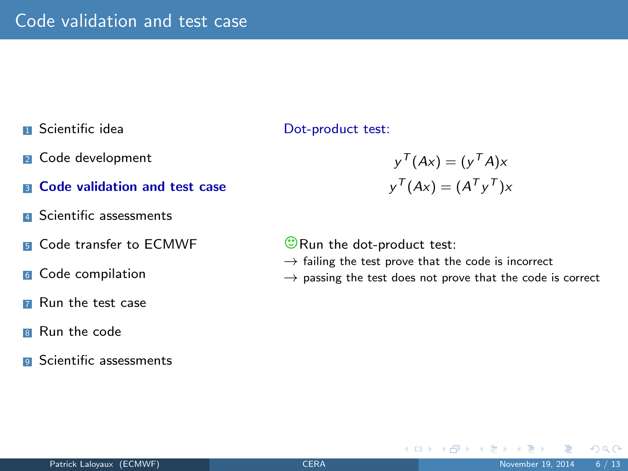- **1** Scientific idea
- <sup>2</sup> Code development
- **8 Code validation and test case**
- **4** Scientific assessments
- **5** Code transfer to FCMWF
- 6 Code compilation
- **7** Run the test case
- **B** Run the code
- **a** Scientific assessments

Dot-product test:

$$
y^{T}(Ax) = (y^{T}A)x
$$

$$
y^{T}(Ax) = (A^{T}y^{T})x
$$

 $\odot$  Run the dot-product test:

- $\rightarrow$  failing the test prove that the code is incorrect
- $\rightarrow$  passing the test does not prove that the code is correct

 $\left\{ \begin{array}{ccc} 1 & 0 & 0 \\ 0 & 1 & 0 \end{array} \right\}$  ,  $\left\{ \begin{array}{ccc} 0 & 0 & 0 \\ 0 & 0 & 0 \end{array} \right\}$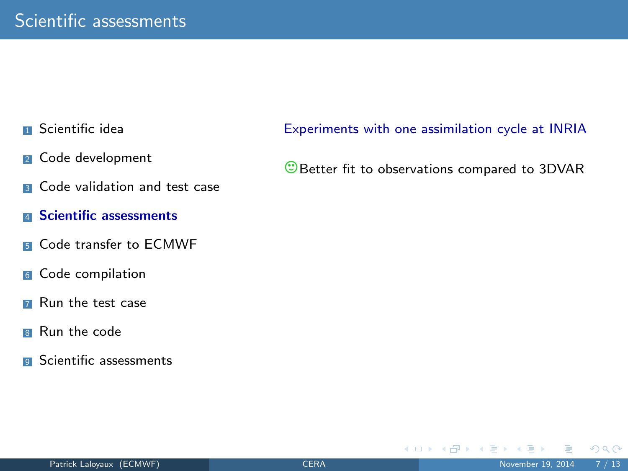- **1** Scientific idea
- <sup>2</sup> Code development
- **B** Code validation and test case
- **E Scientific assessments**
- **5** Code transfer to FCMWF
- <sup>6</sup> Code compilation
- **7** Run the test case
- **B** Run the code
- **a** Scientific assessments

Experiments with one assimilation cycle at INRIA

**Better fit to observations compared to 3DVAR** 

 $\left\{ \begin{array}{ccc} \square & \times & \overline{C} \ \square & \times & \times & \overline{C} \end{array} \right.$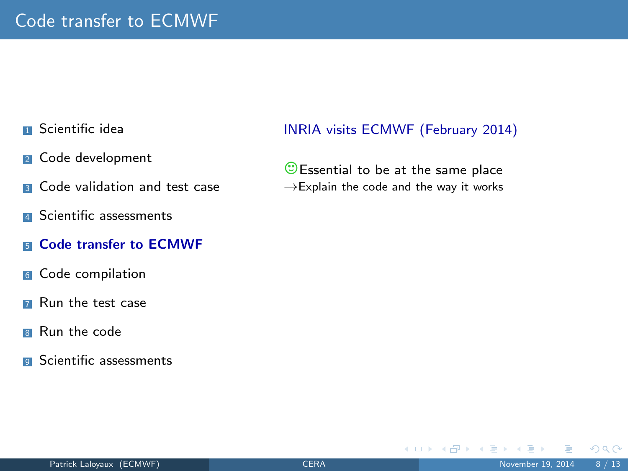- **1** Scientific idea
- <sup>2</sup> Code development
- **B** Code validation and test case
- **4** Scientific assessments
- **E.** Code transfer to ECMWF
- 6 Code compilation
- **7** Run the test case
- **B** Run the code
- **a** Scientific assessments

### INRIA visits ECMWF (February 2014)

 $\circled{c}$  Essential to be at the same place  $\rightarrow$  Explain the code and the way it works

 $\Omega$ 

 $\left\{ \begin{array}{ccc} 1 & 0 & 0 \\ 0 & 1 & 0 \end{array} \right.$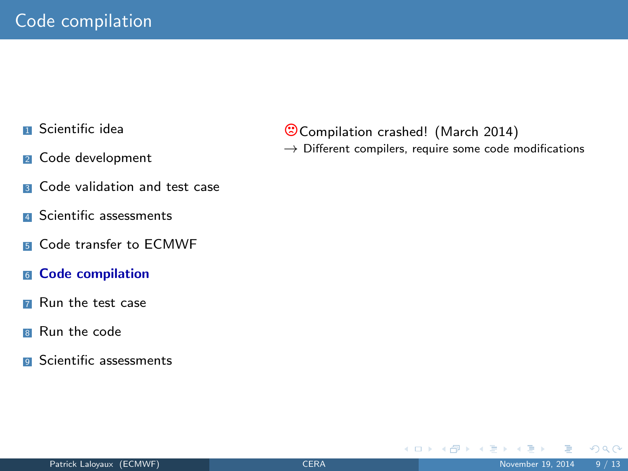- **1** Scientific idea
- <sup>2</sup> Code development
- **B** Code validation and test case
- **4** Scientific assessments
- **5** Code transfer to FCMWF
- <sup>6</sup> Code compilation
- **7** Run the test case
- **B** Run the code
- **a** Scientific assessments

/Compilation crashed! (March 2014)

 $\rightarrow$  Different compilers, require some code modifications

イロト イ押ト イヨト イ

 $QQ$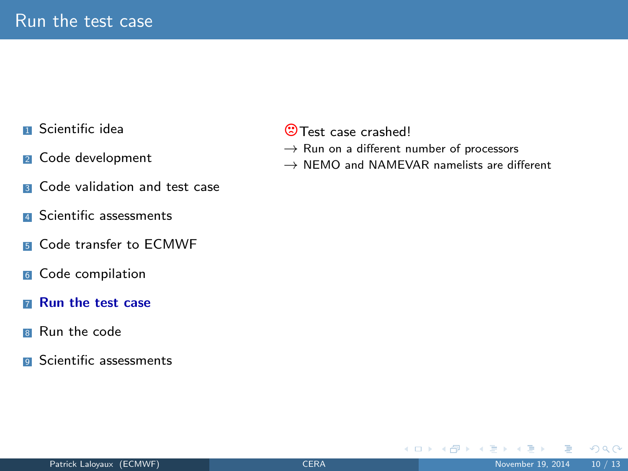- **1** Scientific idea
- <sup>2</sup> Code development
- **3** Code validation and test case
- **4** Scientific assessments
- **5** Code transfer to FCMWF
- 6 Code compilation
- **7 Run the test case**
- **B** Run the code
- **9** Scientific assessments

## **<sup>2</sup>**Test case crashed!

- $\rightarrow$  Run on a different number of processors
- $\rightarrow$  NEMO and NAMEVAR namelists are different

 $\Omega$ 

イロト イ押ト イヨト イ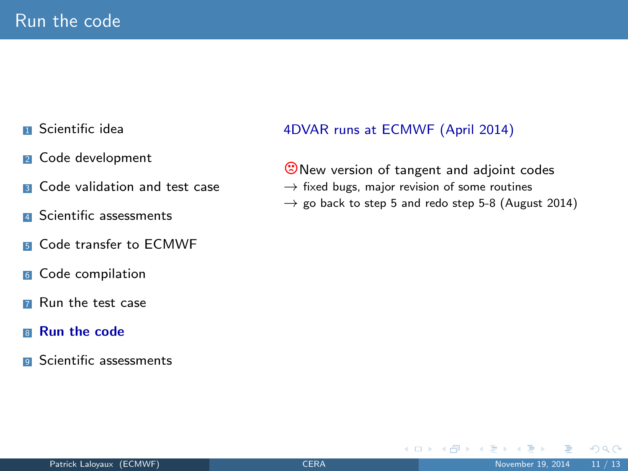- **1** Scientific idea
- <sup>2</sup> Code development
- **3** Code validation and test case
- **4** Scientific assessments
- **5** Code transfer to FCMWF
- 6 Code compilation
- **7** Run the test case
- <sup>8</sup> Run the code
- **a** Scientific assessments

# 4DVAR runs at ECMWF (April 2014)

**O**New version of tangent and adjoint codes  $\rightarrow$  fixed bugs, major revision of some routines

 $\rightarrow$  go back to step 5 and redo step 5-8 (August 2014)

**K ロ ▶ | K 伺 ▶ | K ヨ ▶**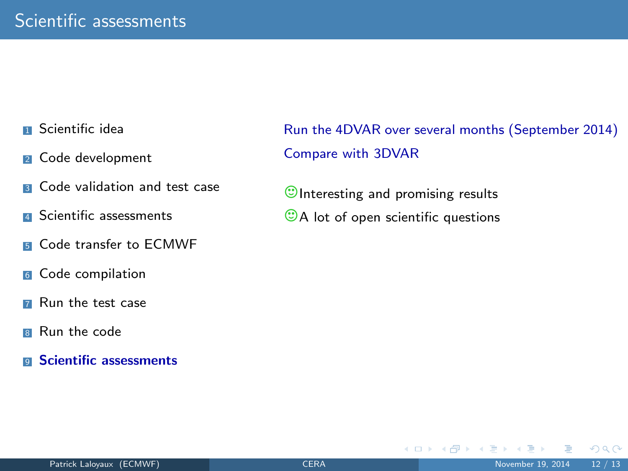- **1** Scientific idea
- <sup>2</sup> Code development
- **3** Code validation and test case
- **A** Scientific assessments
- **5** Code transfer to FCMWF
- <sup>6</sup> Code compilation
- **7** Run the test case
- **B** Run the code
- **9** Scientific assessments

Run the 4DVAR over several months (September 2014) Compare with 3DVAR

**K ロ ▶ | K 伺 ▶ | K ヨ ▶** 

 $\circ$ Interesting and promising results

 $\odot$ A lot of open scientific questions